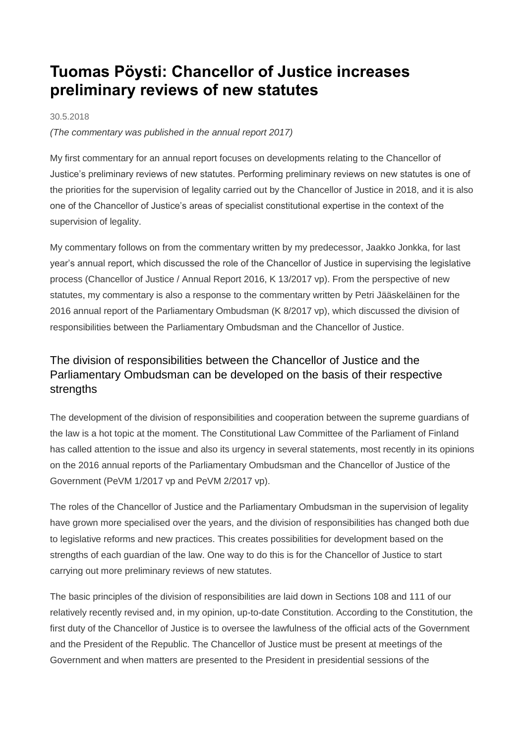# **Tuomas Pöysti: Chancellor of Justice increases preliminary reviews of new statutes**

#### 30.5.2018

*(The commentary was published in the annual report 2017)*

My first commentary for an annual report focuses on developments relating to the Chancellor of Justice's preliminary reviews of new statutes. Performing preliminary reviews on new statutes is one of the priorities for the supervision of legality carried out by the Chancellor of Justice in 2018, and it is also one of the Chancellor of Justice's areas of specialist constitutional expertise in the context of the supervision of legality.

My commentary follows on from the commentary written by my predecessor, Jaakko Jonkka, for last year's annual report, which discussed the role of the Chancellor of Justice in supervising the legislative process (Chancellor of Justice / Annual Report 2016, K 13/2017 vp). From the perspective of new statutes, my commentary is also a response to the commentary written by Petri Jääskeläinen for the 2016 annual report of the Parliamentary Ombudsman (K 8/2017 vp), which discussed the division of responsibilities between the Parliamentary Ombudsman and the Chancellor of Justice.

# The division of responsibilities between the Chancellor of Justice and the Parliamentary Ombudsman can be developed on the basis of their respective strengths

The development of the division of responsibilities and cooperation between the supreme guardians of the law is a hot topic at the moment. The Constitutional Law Committee of the Parliament of Finland has called attention to the issue and also its urgency in several statements, most recently in its opinions on the 2016 annual reports of the Parliamentary Ombudsman and the Chancellor of Justice of the Government (PeVM 1/2017 vp and PeVM 2/2017 vp).

The roles of the Chancellor of Justice and the Parliamentary Ombudsman in the supervision of legality have grown more specialised over the years, and the division of responsibilities has changed both due to legislative reforms and new practices. This creates possibilities for development based on the strengths of each guardian of the law. One way to do this is for the Chancellor of Justice to start carrying out more preliminary reviews of new statutes.

The basic principles of the division of responsibilities are laid down in Sections 108 and 111 of our relatively recently revised and, in my opinion, up-to-date Constitution. According to the Constitution, the first duty of the Chancellor of Justice is to oversee the lawfulness of the official acts of the Government and the President of the Republic. The Chancellor of Justice must be present at meetings of the Government and when matters are presented to the President in presidential sessions of the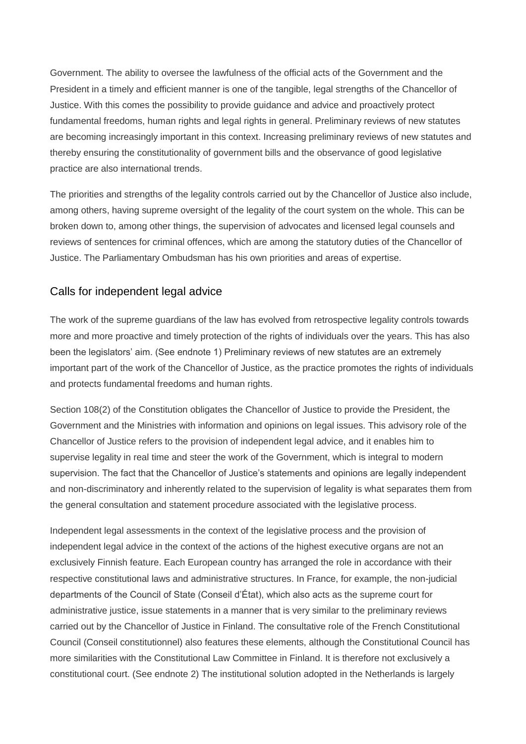Government. The ability to oversee the lawfulness of the official acts of the Government and the President in a timely and efficient manner is one of the tangible, legal strengths of the Chancellor of Justice. With this comes the possibility to provide guidance and advice and proactively protect fundamental freedoms, human rights and legal rights in general. Preliminary reviews of new statutes are becoming increasingly important in this context. Increasing preliminary reviews of new statutes and thereby ensuring the constitutionality of government bills and the observance of good legislative practice are also international trends.

The priorities and strengths of the legality controls carried out by the Chancellor of Justice also include, among others, having supreme oversight of the legality of the court system on the whole. This can be broken down to, among other things, the supervision of advocates and licensed legal counsels and reviews of sentences for criminal offences, which are among the statutory duties of the Chancellor of Justice. The Parliamentary Ombudsman has his own priorities and areas of expertise.

### Calls for independent legal advice

The work of the supreme guardians of the law has evolved from retrospective legality controls towards more and more proactive and timely protection of the rights of individuals over the years. This has also been the legislators' aim. (See endnote 1) Preliminary reviews of new statutes are an extremely important part of the work of the Chancellor of Justice, as the practice promotes the rights of individuals and protects fundamental freedoms and human rights.

Section 108(2) of the Constitution obligates the Chancellor of Justice to provide the President, the Government and the Ministries with information and opinions on legal issues. This advisory role of the Chancellor of Justice refers to the provision of independent legal advice, and it enables him to supervise legality in real time and steer the work of the Government, which is integral to modern supervision. The fact that the Chancellor of Justice's statements and opinions are legally independent and non-discriminatory and inherently related to the supervision of legality is what separates them from the general consultation and statement procedure associated with the legislative process.

Independent legal assessments in the context of the legislative process and the provision of independent legal advice in the context of the actions of the highest executive organs are not an exclusively Finnish feature. Each European country has arranged the role in accordance with their respective constitutional laws and administrative structures. In France, for example, the non-judicial departments of the Council of State (Conseil d'État), which also acts as the supreme court for administrative justice, issue statements in a manner that is very similar to the preliminary reviews carried out by the Chancellor of Justice in Finland. The consultative role of the French Constitutional Council (Conseil constitutionnel) also features these elements, although the Constitutional Council has more similarities with the Constitutional Law Committee in Finland. It is therefore not exclusively a constitutional court. (See endnote 2) The institutional solution adopted in the Netherlands is largely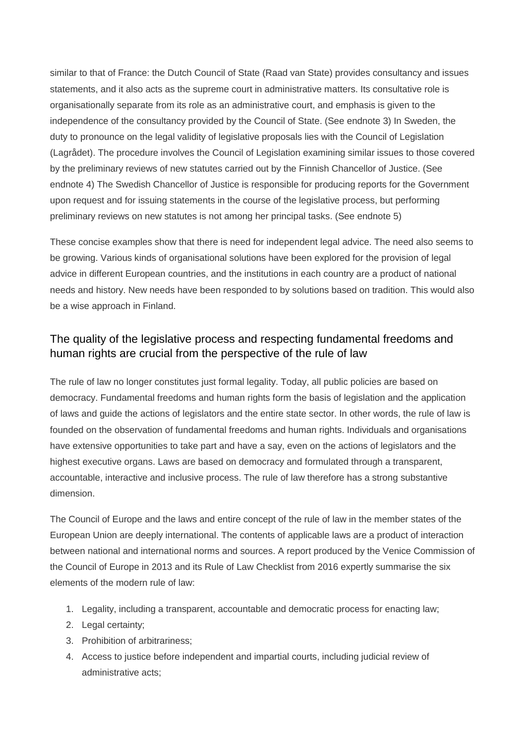similar to that of France: the Dutch Council of State (Raad van State) provides consultancy and issues statements, and it also acts as the supreme court in administrative matters. Its consultative role is organisationally separate from its role as an administrative court, and emphasis is given to the independence of the consultancy provided by the Council of State. (See endnote 3) In Sweden, the duty to pronounce on the legal validity of legislative proposals lies with the Council of Legislation (Lagrådet). The procedure involves the Council of Legislation examining similar issues to those covered by the preliminary reviews of new statutes carried out by the Finnish Chancellor of Justice. (See endnote 4) The Swedish Chancellor of Justice is responsible for producing reports for the Government upon request and for issuing statements in the course of the legislative process, but performing preliminary reviews on new statutes is not among her principal tasks. (See endnote 5)

These concise examples show that there is need for independent legal advice. The need also seems to be growing. Various kinds of organisational solutions have been explored for the provision of legal advice in different European countries, and the institutions in each country are a product of national needs and history. New needs have been responded to by solutions based on tradition. This would also be a wise approach in Finland.

### The quality of the legislative process and respecting fundamental freedoms and human rights are crucial from the perspective of the rule of law

The rule of law no longer constitutes just formal legality. Today, all public policies are based on democracy. Fundamental freedoms and human rights form the basis of legislation and the application of laws and guide the actions of legislators and the entire state sector. In other words, the rule of law is founded on the observation of fundamental freedoms and human rights. Individuals and organisations have extensive opportunities to take part and have a say, even on the actions of legislators and the highest executive organs. Laws are based on democracy and formulated through a transparent, accountable, interactive and inclusive process. The rule of law therefore has a strong substantive dimension.

The Council of Europe and the laws and entire concept of the rule of law in the member states of the European Union are deeply international. The contents of applicable laws are a product of interaction between national and international norms and sources. A report produced by the Venice Commission of the Council of Europe in 2013 and its Rule of Law Checklist from 2016 expertly summarise the six elements of the modern rule of law:

- 1. Legality, including a transparent, accountable and democratic process for enacting law;
- 2. Legal certainty:
- 3. Prohibition of arbitrariness;
- 4. Access to justice before independent and impartial courts, including judicial review of administrative acts;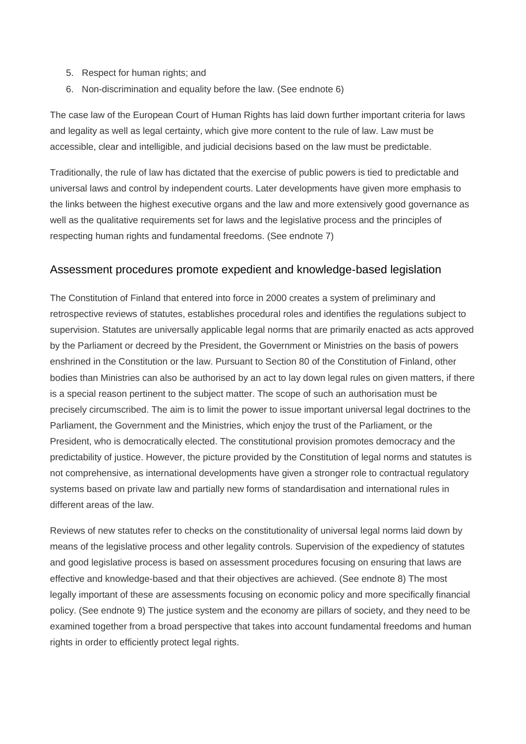- 5. Respect for human rights; and
- 6. Non-discrimination and equality before the law. (See endnote 6)

The case law of the European Court of Human Rights has laid down further important criteria for laws and legality as well as legal certainty, which give more content to the rule of law. Law must be accessible, clear and intelligible, and judicial decisions based on the law must be predictable.

Traditionally, the rule of law has dictated that the exercise of public powers is tied to predictable and universal laws and control by independent courts. Later developments have given more emphasis to the links between the highest executive organs and the law and more extensively good governance as well as the qualitative requirements set for laws and the legislative process and the principles of respecting human rights and fundamental freedoms. (See endnote 7)

#### Assessment procedures promote expedient and knowledge-based legislation

The Constitution of Finland that entered into force in 2000 creates a system of preliminary and retrospective reviews of statutes, establishes procedural roles and identifies the regulations subject to supervision. Statutes are universally applicable legal norms that are primarily enacted as acts approved by the Parliament or decreed by the President, the Government or Ministries on the basis of powers enshrined in the Constitution or the law. Pursuant to Section 80 of the Constitution of Finland, other bodies than Ministries can also be authorised by an act to lay down legal rules on given matters, if there is a special reason pertinent to the subject matter. The scope of such an authorisation must be precisely circumscribed. The aim is to limit the power to issue important universal legal doctrines to the Parliament, the Government and the Ministries, which enjoy the trust of the Parliament, or the President, who is democratically elected. The constitutional provision promotes democracy and the predictability of justice. However, the picture provided by the Constitution of legal norms and statutes is not comprehensive, as international developments have given a stronger role to contractual regulatory systems based on private law and partially new forms of standardisation and international rules in different areas of the law.

Reviews of new statutes refer to checks on the constitutionality of universal legal norms laid down by means of the legislative process and other legality controls. Supervision of the expediency of statutes and good legislative process is based on assessment procedures focusing on ensuring that laws are effective and knowledge-based and that their objectives are achieved. (See endnote 8) The most legally important of these are assessments focusing on economic policy and more specifically financial policy. (See endnote 9) The justice system and the economy are pillars of society, and they need to be examined together from a broad perspective that takes into account fundamental freedoms and human rights in order to efficiently protect legal rights.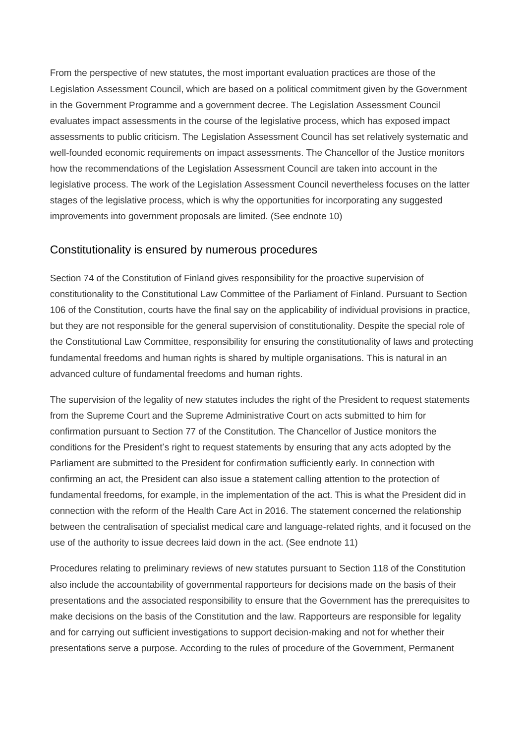From the perspective of new statutes, the most important evaluation practices are those of the Legislation Assessment Council, which are based on a political commitment given by the Government in the Government Programme and a government decree. The Legislation Assessment Council evaluates impact assessments in the course of the legislative process, which has exposed impact assessments to public criticism. The Legislation Assessment Council has set relatively systematic and well-founded economic requirements on impact assessments. The Chancellor of the Justice monitors how the recommendations of the Legislation Assessment Council are taken into account in the legislative process. The work of the Legislation Assessment Council nevertheless focuses on the latter stages of the legislative process, which is why the opportunities for incorporating any suggested improvements into government proposals are limited. (See endnote 10)

#### Constitutionality is ensured by numerous procedures

Section 74 of the Constitution of Finland gives responsibility for the proactive supervision of constitutionality to the Constitutional Law Committee of the Parliament of Finland. Pursuant to Section 106 of the Constitution, courts have the final say on the applicability of individual provisions in practice, but they are not responsible for the general supervision of constitutionality. Despite the special role of the Constitutional Law Committee, responsibility for ensuring the constitutionality of laws and protecting fundamental freedoms and human rights is shared by multiple organisations. This is natural in an advanced culture of fundamental freedoms and human rights.

The supervision of the legality of new statutes includes the right of the President to request statements from the Supreme Court and the Supreme Administrative Court on acts submitted to him for confirmation pursuant to Section 77 of the Constitution. The Chancellor of Justice monitors the conditions for the President's right to request statements by ensuring that any acts adopted by the Parliament are submitted to the President for confirmation sufficiently early. In connection with confirming an act, the President can also issue a statement calling attention to the protection of fundamental freedoms, for example, in the implementation of the act. This is what the President did in connection with the reform of the Health Care Act in 2016. The statement concerned the relationship between the centralisation of specialist medical care and language-related rights, and it focused on the use of the authority to issue decrees laid down in the act. (See endnote 11)

Procedures relating to preliminary reviews of new statutes pursuant to Section 118 of the Constitution also include the accountability of governmental rapporteurs for decisions made on the basis of their presentations and the associated responsibility to ensure that the Government has the prerequisites to make decisions on the basis of the Constitution and the law. Rapporteurs are responsible for legality and for carrying out sufficient investigations to support decision-making and not for whether their presentations serve a purpose. According to the rules of procedure of the Government, Permanent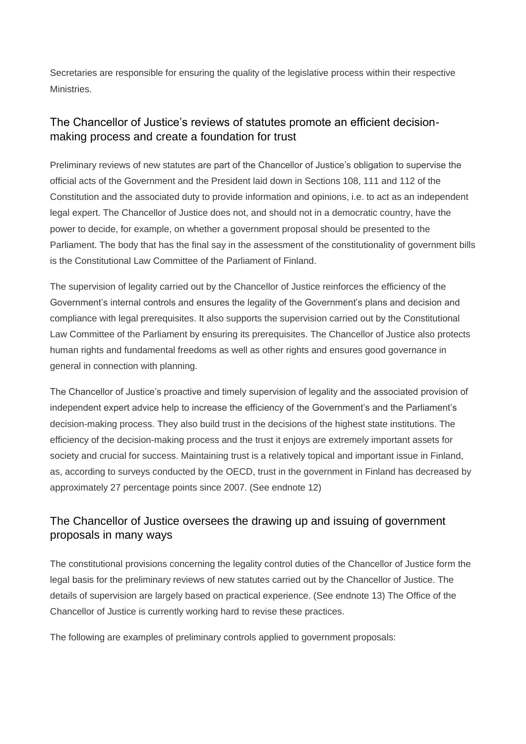Secretaries are responsible for ensuring the quality of the legislative process within their respective Ministries.

## The Chancellor of Justice's reviews of statutes promote an efficient decisionmaking process and create a foundation for trust

Preliminary reviews of new statutes are part of the Chancellor of Justice's obligation to supervise the official acts of the Government and the President laid down in Sections 108, 111 and 112 of the Constitution and the associated duty to provide information and opinions, i.e. to act as an independent legal expert. The Chancellor of Justice does not, and should not in a democratic country, have the power to decide, for example, on whether a government proposal should be presented to the Parliament. The body that has the final say in the assessment of the constitutionality of government bills is the Constitutional Law Committee of the Parliament of Finland.

The supervision of legality carried out by the Chancellor of Justice reinforces the efficiency of the Government's internal controls and ensures the legality of the Government's plans and decision and compliance with legal prerequisites. It also supports the supervision carried out by the Constitutional Law Committee of the Parliament by ensuring its prerequisites. The Chancellor of Justice also protects human rights and fundamental freedoms as well as other rights and ensures good governance in general in connection with planning.

The Chancellor of Justice's proactive and timely supervision of legality and the associated provision of independent expert advice help to increase the efficiency of the Government's and the Parliament's decision-making process. They also build trust in the decisions of the highest state institutions. The efficiency of the decision-making process and the trust it enjoys are extremely important assets for society and crucial for success. Maintaining trust is a relatively topical and important issue in Finland, as, according to surveys conducted by the OECD, trust in the government in Finland has decreased by approximately 27 percentage points since 2007. (See endnote 12)

# The Chancellor of Justice oversees the drawing up and issuing of government proposals in many ways

The constitutional provisions concerning the legality control duties of the Chancellor of Justice form the legal basis for the preliminary reviews of new statutes carried out by the Chancellor of Justice. The details of supervision are largely based on practical experience. (See endnote 13) The Office of the Chancellor of Justice is currently working hard to revise these practices.

The following are examples of preliminary controls applied to government proposals: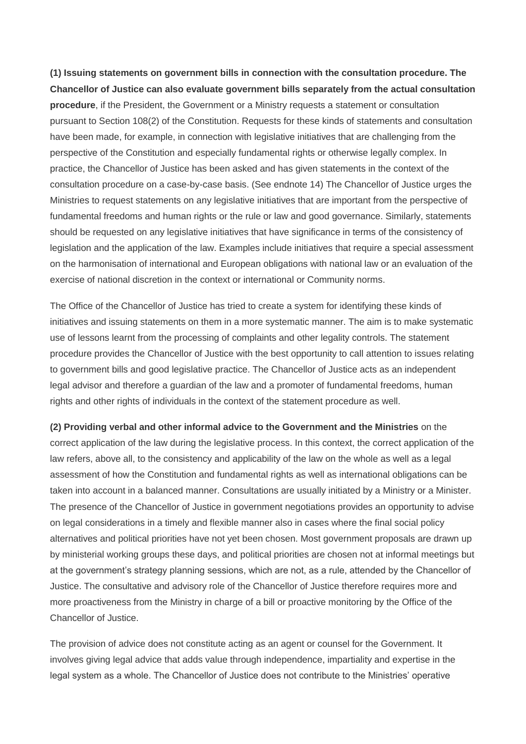**(1) Issuing statements on government bills in connection with the consultation procedure. The Chancellor of Justice can also evaluate government bills separately from the actual consultation procedure**, if the President, the Government or a Ministry requests a statement or consultation pursuant to Section 108(2) of the Constitution. Requests for these kinds of statements and consultation have been made, for example, in connection with legislative initiatives that are challenging from the perspective of the Constitution and especially fundamental rights or otherwise legally complex. In practice, the Chancellor of Justice has been asked and has given statements in the context of the consultation procedure on a case-by-case basis. (See endnote 14) The Chancellor of Justice urges the Ministries to request statements on any legislative initiatives that are important from the perspective of fundamental freedoms and human rights or the rule or law and good governance. Similarly, statements should be requested on any legislative initiatives that have significance in terms of the consistency of legislation and the application of the law. Examples include initiatives that require a special assessment on the harmonisation of international and European obligations with national law or an evaluation of the exercise of national discretion in the context or international or Community norms.

The Office of the Chancellor of Justice has tried to create a system for identifying these kinds of initiatives and issuing statements on them in a more systematic manner. The aim is to make systematic use of lessons learnt from the processing of complaints and other legality controls. The statement procedure provides the Chancellor of Justice with the best opportunity to call attention to issues relating to government bills and good legislative practice. The Chancellor of Justice acts as an independent legal advisor and therefore a guardian of the law and a promoter of fundamental freedoms, human rights and other rights of individuals in the context of the statement procedure as well.

**(2) Providing verbal and other informal advice to the Government and the Ministries** on the correct application of the law during the legislative process. In this context, the correct application of the law refers, above all, to the consistency and applicability of the law on the whole as well as a legal assessment of how the Constitution and fundamental rights as well as international obligations can be taken into account in a balanced manner. Consultations are usually initiated by a Ministry or a Minister. The presence of the Chancellor of Justice in government negotiations provides an opportunity to advise on legal considerations in a timely and flexible manner also in cases where the final social policy alternatives and political priorities have not yet been chosen. Most government proposals are drawn up by ministerial working groups these days, and political priorities are chosen not at informal meetings but at the government's strategy planning sessions, which are not, as a rule, attended by the Chancellor of Justice. The consultative and advisory role of the Chancellor of Justice therefore requires more and more proactiveness from the Ministry in charge of a bill or proactive monitoring by the Office of the Chancellor of Justice.

The provision of advice does not constitute acting as an agent or counsel for the Government. It involves giving legal advice that adds value through independence, impartiality and expertise in the legal system as a whole. The Chancellor of Justice does not contribute to the Ministries' operative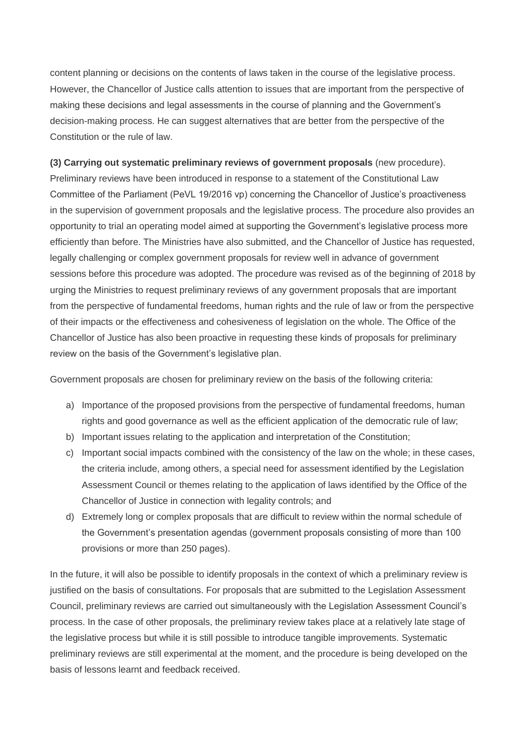content planning or decisions on the contents of laws taken in the course of the legislative process. However, the Chancellor of Justice calls attention to issues that are important from the perspective of making these decisions and legal assessments in the course of planning and the Government's decision-making process. He can suggest alternatives that are better from the perspective of the Constitution or the rule of law.

#### **(3) Carrying out systematic preliminary reviews of government proposals** (new procedure).

Preliminary reviews have been introduced in response to a statement of the Constitutional Law Committee of the Parliament (PeVL 19/2016 vp) concerning the Chancellor of Justice's proactiveness in the supervision of government proposals and the legislative process. The procedure also provides an opportunity to trial an operating model aimed at supporting the Government's legislative process more efficiently than before. The Ministries have also submitted, and the Chancellor of Justice has requested, legally challenging or complex government proposals for review well in advance of government sessions before this procedure was adopted. The procedure was revised as of the beginning of 2018 by urging the Ministries to request preliminary reviews of any government proposals that are important from the perspective of fundamental freedoms, human rights and the rule of law or from the perspective of their impacts or the effectiveness and cohesiveness of legislation on the whole. The Office of the Chancellor of Justice has also been proactive in requesting these kinds of proposals for preliminary review on the basis of the Government's legislative plan.

Government proposals are chosen for preliminary review on the basis of the following criteria:

- a) Importance of the proposed provisions from the perspective of fundamental freedoms, human rights and good governance as well as the efficient application of the democratic rule of law;
- b) Important issues relating to the application and interpretation of the Constitution;
- c) Important social impacts combined with the consistency of the law on the whole; in these cases, the criteria include, among others, a special need for assessment identified by the Legislation Assessment Council or themes relating to the application of laws identified by the Office of the Chancellor of Justice in connection with legality controls; and
- d) Extremely long or complex proposals that are difficult to review within the normal schedule of the Government's presentation agendas (government proposals consisting of more than 100 provisions or more than 250 pages).

In the future, it will also be possible to identify proposals in the context of which a preliminary review is justified on the basis of consultations. For proposals that are submitted to the Legislation Assessment Council, preliminary reviews are carried out simultaneously with the Legislation Assessment Council's process. In the case of other proposals, the preliminary review takes place at a relatively late stage of the legislative process but while it is still possible to introduce tangible improvements. Systematic preliminary reviews are still experimental at the moment, and the procedure is being developed on the basis of lessons learnt and feedback received.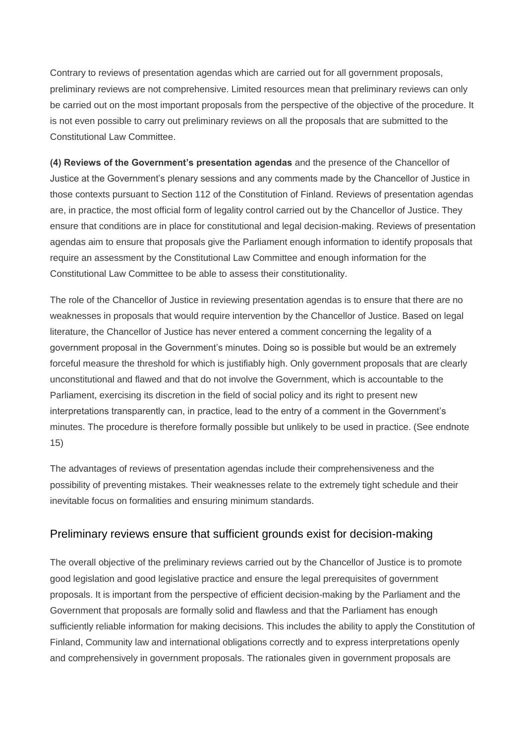Contrary to reviews of presentation agendas which are carried out for all government proposals, preliminary reviews are not comprehensive. Limited resources mean that preliminary reviews can only be carried out on the most important proposals from the perspective of the objective of the procedure. It is not even possible to carry out preliminary reviews on all the proposals that are submitted to the Constitutional Law Committee.

**(4) Reviews of the Government's presentation agendas** and the presence of the Chancellor of Justice at the Government's plenary sessions and any comments made by the Chancellor of Justice in those contexts pursuant to Section 112 of the Constitution of Finland. Reviews of presentation agendas are, in practice, the most official form of legality control carried out by the Chancellor of Justice. They ensure that conditions are in place for constitutional and legal decision-making. Reviews of presentation agendas aim to ensure that proposals give the Parliament enough information to identify proposals that require an assessment by the Constitutional Law Committee and enough information for the Constitutional Law Committee to be able to assess their constitutionality.

The role of the Chancellor of Justice in reviewing presentation agendas is to ensure that there are no weaknesses in proposals that would require intervention by the Chancellor of Justice. Based on legal literature, the Chancellor of Justice has never entered a comment concerning the legality of a government proposal in the Government's minutes. Doing so is possible but would be an extremely forceful measure the threshold for which is justifiably high. Only government proposals that are clearly unconstitutional and flawed and that do not involve the Government, which is accountable to the Parliament, exercising its discretion in the field of social policy and its right to present new interpretations transparently can, in practice, lead to the entry of a comment in the Government's minutes. The procedure is therefore formally possible but unlikely to be used in practice. (See endnote 15)

The advantages of reviews of presentation agendas include their comprehensiveness and the possibility of preventing mistakes. Their weaknesses relate to the extremely tight schedule and their inevitable focus on formalities and ensuring minimum standards.

#### Preliminary reviews ensure that sufficient grounds exist for decision-making

The overall objective of the preliminary reviews carried out by the Chancellor of Justice is to promote good legislation and good legislative practice and ensure the legal prerequisites of government proposals. It is important from the perspective of efficient decision-making by the Parliament and the Government that proposals are formally solid and flawless and that the Parliament has enough sufficiently reliable information for making decisions. This includes the ability to apply the Constitution of Finland, Community law and international obligations correctly and to express interpretations openly and comprehensively in government proposals. The rationales given in government proposals are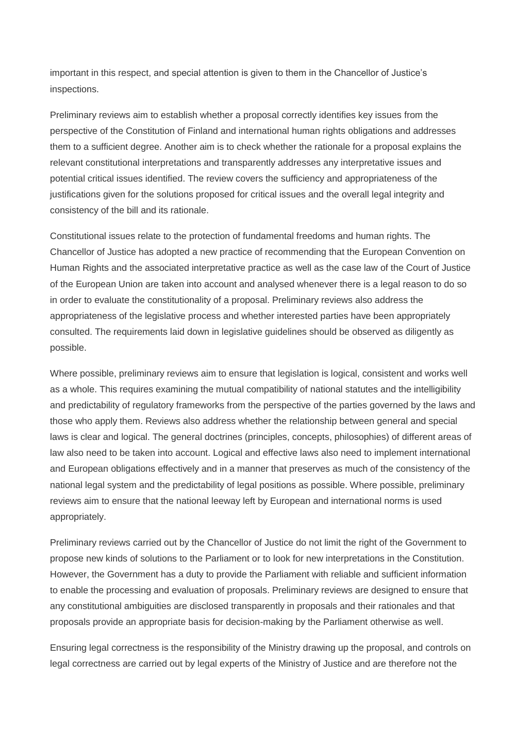important in this respect, and special attention is given to them in the Chancellor of Justice's inspections.

Preliminary reviews aim to establish whether a proposal correctly identifies key issues from the perspective of the Constitution of Finland and international human rights obligations and addresses them to a sufficient degree. Another aim is to check whether the rationale for a proposal explains the relevant constitutional interpretations and transparently addresses any interpretative issues and potential critical issues identified. The review covers the sufficiency and appropriateness of the justifications given for the solutions proposed for critical issues and the overall legal integrity and consistency of the bill and its rationale.

Constitutional issues relate to the protection of fundamental freedoms and human rights. The Chancellor of Justice has adopted a new practice of recommending that the European Convention on Human Rights and the associated interpretative practice as well as the case law of the Court of Justice of the European Union are taken into account and analysed whenever there is a legal reason to do so in order to evaluate the constitutionality of a proposal. Preliminary reviews also address the appropriateness of the legislative process and whether interested parties have been appropriately consulted. The requirements laid down in legislative guidelines should be observed as diligently as possible.

Where possible, preliminary reviews aim to ensure that legislation is logical, consistent and works well as a whole. This requires examining the mutual compatibility of national statutes and the intelligibility and predictability of regulatory frameworks from the perspective of the parties governed by the laws and those who apply them. Reviews also address whether the relationship between general and special laws is clear and logical. The general doctrines (principles, concepts, philosophies) of different areas of law also need to be taken into account. Logical and effective laws also need to implement international and European obligations effectively and in a manner that preserves as much of the consistency of the national legal system and the predictability of legal positions as possible. Where possible, preliminary reviews aim to ensure that the national leeway left by European and international norms is used appropriately.

Preliminary reviews carried out by the Chancellor of Justice do not limit the right of the Government to propose new kinds of solutions to the Parliament or to look for new interpretations in the Constitution. However, the Government has a duty to provide the Parliament with reliable and sufficient information to enable the processing and evaluation of proposals. Preliminary reviews are designed to ensure that any constitutional ambiguities are disclosed transparently in proposals and their rationales and that proposals provide an appropriate basis for decision-making by the Parliament otherwise as well.

Ensuring legal correctness is the responsibility of the Ministry drawing up the proposal, and controls on legal correctness are carried out by legal experts of the Ministry of Justice and are therefore not the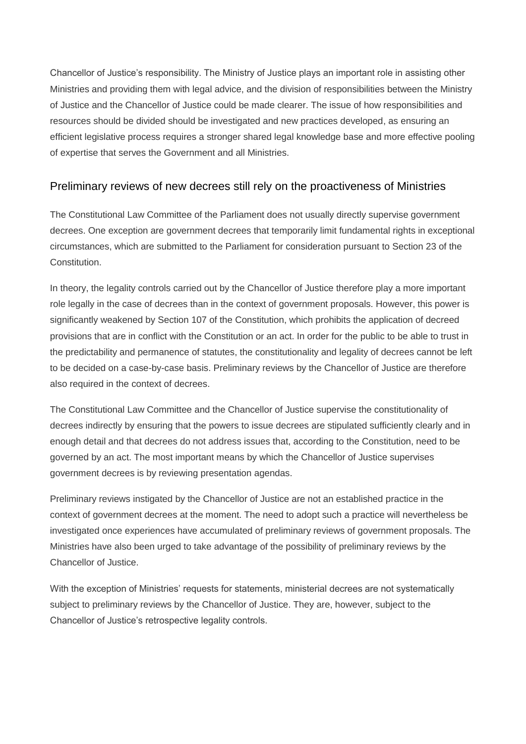Chancellor of Justice's responsibility. The Ministry of Justice plays an important role in assisting other Ministries and providing them with legal advice, and the division of responsibilities between the Ministry of Justice and the Chancellor of Justice could be made clearer. The issue of how responsibilities and resources should be divided should be investigated and new practices developed, as ensuring an efficient legislative process requires a stronger shared legal knowledge base and more effective pooling of expertise that serves the Government and all Ministries.

### Preliminary reviews of new decrees still rely on the proactiveness of Ministries

The Constitutional Law Committee of the Parliament does not usually directly supervise government decrees. One exception are government decrees that temporarily limit fundamental rights in exceptional circumstances, which are submitted to the Parliament for consideration pursuant to Section 23 of the Constitution.

In theory, the legality controls carried out by the Chancellor of Justice therefore play a more important role legally in the case of decrees than in the context of government proposals. However, this power is significantly weakened by Section 107 of the Constitution, which prohibits the application of decreed provisions that are in conflict with the Constitution or an act. In order for the public to be able to trust in the predictability and permanence of statutes, the constitutionality and legality of decrees cannot be left to be decided on a case-by-case basis. Preliminary reviews by the Chancellor of Justice are therefore also required in the context of decrees.

The Constitutional Law Committee and the Chancellor of Justice supervise the constitutionality of decrees indirectly by ensuring that the powers to issue decrees are stipulated sufficiently clearly and in enough detail and that decrees do not address issues that, according to the Constitution, need to be governed by an act. The most important means by which the Chancellor of Justice supervises government decrees is by reviewing presentation agendas.

Preliminary reviews instigated by the Chancellor of Justice are not an established practice in the context of government decrees at the moment. The need to adopt such a practice will nevertheless be investigated once experiences have accumulated of preliminary reviews of government proposals. The Ministries have also been urged to take advantage of the possibility of preliminary reviews by the Chancellor of Justice.

With the exception of Ministries' requests for statements, ministerial decrees are not systematically subject to preliminary reviews by the Chancellor of Justice. They are, however, subject to the Chancellor of Justice's retrospective legality controls.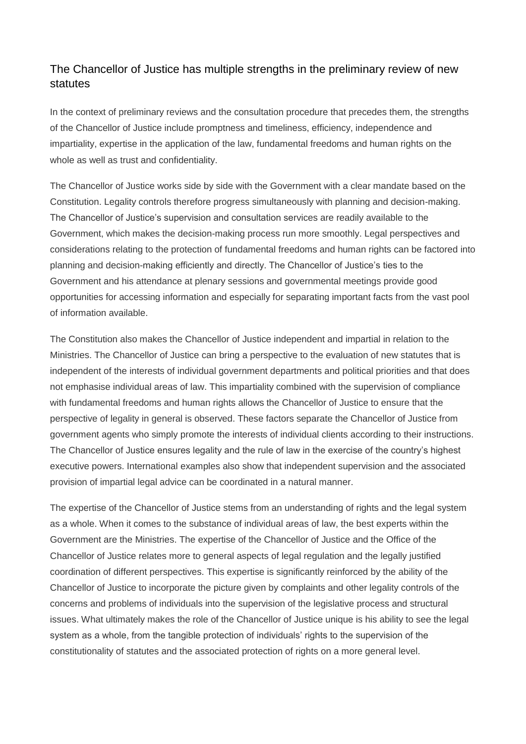### The Chancellor of Justice has multiple strengths in the preliminary review of new statutes

In the context of preliminary reviews and the consultation procedure that precedes them, the strengths of the Chancellor of Justice include promptness and timeliness, efficiency, independence and impartiality, expertise in the application of the law, fundamental freedoms and human rights on the whole as well as trust and confidentiality.

The Chancellor of Justice works side by side with the Government with a clear mandate based on the Constitution. Legality controls therefore progress simultaneously with planning and decision-making. The Chancellor of Justice's supervision and consultation services are readily available to the Government, which makes the decision-making process run more smoothly. Legal perspectives and considerations relating to the protection of fundamental freedoms and human rights can be factored into planning and decision-making efficiently and directly. The Chancellor of Justice's ties to the Government and his attendance at plenary sessions and governmental meetings provide good opportunities for accessing information and especially for separating important facts from the vast pool of information available.

The Constitution also makes the Chancellor of Justice independent and impartial in relation to the Ministries. The Chancellor of Justice can bring a perspective to the evaluation of new statutes that is independent of the interests of individual government departments and political priorities and that does not emphasise individual areas of law. This impartiality combined with the supervision of compliance with fundamental freedoms and human rights allows the Chancellor of Justice to ensure that the perspective of legality in general is observed. These factors separate the Chancellor of Justice from government agents who simply promote the interests of individual clients according to their instructions. The Chancellor of Justice ensures legality and the rule of law in the exercise of the country's highest executive powers. International examples also show that independent supervision and the associated provision of impartial legal advice can be coordinated in a natural manner.

The expertise of the Chancellor of Justice stems from an understanding of rights and the legal system as a whole. When it comes to the substance of individual areas of law, the best experts within the Government are the Ministries. The expertise of the Chancellor of Justice and the Office of the Chancellor of Justice relates more to general aspects of legal regulation and the legally justified coordination of different perspectives. This expertise is significantly reinforced by the ability of the Chancellor of Justice to incorporate the picture given by complaints and other legality controls of the concerns and problems of individuals into the supervision of the legislative process and structural issues. What ultimately makes the role of the Chancellor of Justice unique is his ability to see the legal system as a whole, from the tangible protection of individuals' rights to the supervision of the constitutionality of statutes and the associated protection of rights on a more general level.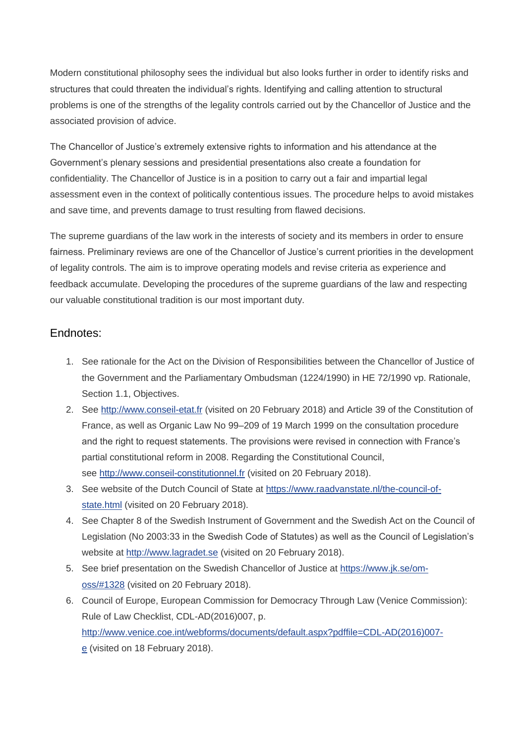Modern constitutional philosophy sees the individual but also looks further in order to identify risks and structures that could threaten the individual's rights. Identifying and calling attention to structural problems is one of the strengths of the legality controls carried out by the Chancellor of Justice and the associated provision of advice.

The Chancellor of Justice's extremely extensive rights to information and his attendance at the Government's plenary sessions and presidential presentations also create a foundation for confidentiality. The Chancellor of Justice is in a position to carry out a fair and impartial legal assessment even in the context of politically contentious issues. The procedure helps to avoid mistakes and save time, and prevents damage to trust resulting from flawed decisions.

The supreme guardians of the law work in the interests of society and its members in order to ensure fairness. Preliminary reviews are one of the Chancellor of Justice's current priorities in the development of legality controls. The aim is to improve operating models and revise criteria as experience and feedback accumulate. Developing the procedures of the supreme guardians of the law and respecting our valuable constitutional tradition is our most important duty.

### Endnotes:

- 1. See rationale for the Act on the Division of Responsibilities between the Chancellor of Justice of the Government and the Parliamentary Ombudsman (1224/1990) in HE 72/1990 vp. Rationale, Section 1.1, Objectives.
- 2. See [http://www.conseil-etat.fr](http://www.conseil-etat.fr/) (visited on 20 February 2018) and Article 39 of the Constitution of France, as well as Organic Law No 99–209 of 19 March 1999 on the consultation procedure and the right to request statements. The provisions were revised in connection with France's partial constitutional reform in 2008. Regarding the Constitutional Council, see [http://www.conseil-constitutionnel.fr](http://www.conseil-constitutionnel.fr/) (visited on 20 February 2018).
- 3. See website of the Dutch Council of State at [https://www.raadvanstate.nl/the-council-of](https://www.raadvanstate.nl/the-council-of-state.html)[state.html](https://www.raadvanstate.nl/the-council-of-state.html) (visited on 20 February 2018).
- 4. See Chapter 8 of the Swedish Instrument of Government and the Swedish Act on the Council of Legislation (No 2003:33 in the Swedish Code of Statutes) as well as the Council of Legislation's website at [http://www.lagradet.se](http://www.lagradet.se/) (visited on 20 February 2018).
- 5. See brief presentation on the Swedish Chancellor of Justice at [https://www.jk.se/om](https://www.jk.se/om-oss/#1328)[oss/#1328](https://www.jk.se/om-oss/#1328) (visited on 20 February 2018).
- 6. Council of Europe, European Commission for Democracy Through Law (Venice Commission): Rule of Law Checklist, CDL-AD(2016)007, p. [http://www.venice.coe.int/webforms/documents/default.aspx?pdffile=CDL-AD\(2016\)007](http://www.venice.coe.int/webforms/documents/default.aspx?pdffile=CDL-AD(2016)007-e) [e](http://www.venice.coe.int/webforms/documents/default.aspx?pdffile=CDL-AD(2016)007-e) (visited on 18 February 2018).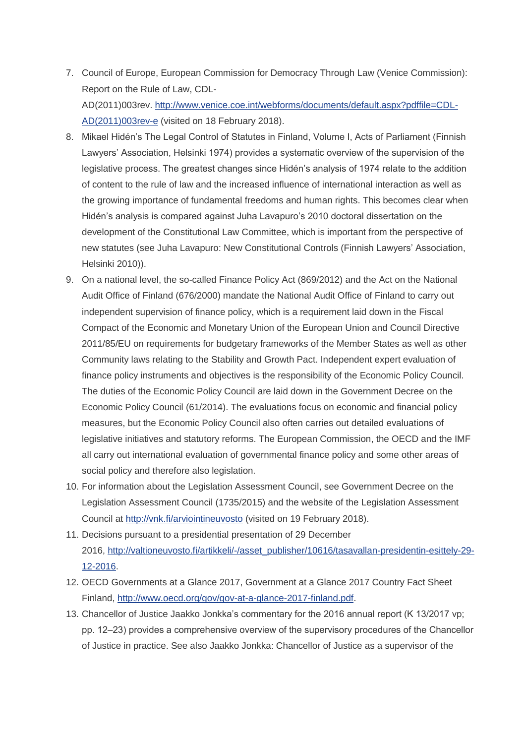- 7. Council of Europe, European Commission for Democracy Through Law (Venice Commission): Report on the Rule of Law, CDL-AD(2011)003rev. [http://www.venice.coe.int/webforms/documents/default.aspx?pdffile=CDL-](http://www.venice.coe.int/webforms/documents/default.aspx?pdffile=CDL-AD(2011)003rev-e)[AD\(2011\)003rev-e](http://www.venice.coe.int/webforms/documents/default.aspx?pdffile=CDL-AD(2011)003rev-e) (visited on 18 February 2018).
- 8. Mikael Hidén's The Legal Control of Statutes in Finland, Volume I, Acts of Parliament (Finnish Lawyers' Association, Helsinki 1974) provides a systematic overview of the supervision of the legislative process. The greatest changes since Hidén's analysis of 1974 relate to the addition of content to the rule of law and the increased influence of international interaction as well as the growing importance of fundamental freedoms and human rights. This becomes clear when Hidén's analysis is compared against Juha Lavapuro's 2010 doctoral dissertation on the development of the Constitutional Law Committee, which is important from the perspective of new statutes (see Juha Lavapuro: New Constitutional Controls (Finnish Lawyers' Association, Helsinki 2010)).
- 9. On a national level, the so-called Finance Policy Act (869/2012) and the Act on the National Audit Office of Finland (676/2000) mandate the National Audit Office of Finland to carry out independent supervision of finance policy, which is a requirement laid down in the Fiscal Compact of the Economic and Monetary Union of the European Union and Council Directive 2011/85/EU on requirements for budgetary frameworks of the Member States as well as other Community laws relating to the Stability and Growth Pact. Independent expert evaluation of finance policy instruments and objectives is the responsibility of the Economic Policy Council. The duties of the Economic Policy Council are laid down in the Government Decree on the Economic Policy Council (61/2014). The evaluations focus on economic and financial policy measures, but the Economic Policy Council also often carries out detailed evaluations of legislative initiatives and statutory reforms. The European Commission, the OECD and the IMF all carry out international evaluation of governmental finance policy and some other areas of social policy and therefore also legislation.
- 10. For information about the Legislation Assessment Council, see Government Decree on the Legislation Assessment Council (1735/2015) and the website of the Legislation Assessment Council at <http://vnk.fi/arviointineuvosto> (visited on 19 February 2018).
- 11. Decisions pursuant to a presidential presentation of 29 December 2016, [http://valtioneuvosto.fi/artikkeli/-/asset\\_publisher/10616/tasavallan-presidentin-esittely-29-](http://valtioneuvosto.fi/artikkeli/-/asset_publisher/10616/tasavallan-presidentin-esittely-29-12-2016) [12-2016.](http://valtioneuvosto.fi/artikkeli/-/asset_publisher/10616/tasavallan-presidentin-esittely-29-12-2016)
- 12. OECD Governments at a Glance 2017, Government at a Glance 2017 Country Fact Sheet Finland, [http://www.oecd.org/gov/gov-at-a-glance-2017-finland.pdf.](http://www.oecd.org/gov/gov-at-a-glance-2017-finland.pdf)
- 13. Chancellor of Justice Jaakko Jonkka's commentary for the 2016 annual report (K 13/2017 vp; pp. 12‒23) provides a comprehensive overview of the supervisory procedures of the Chancellor of Justice in practice. See also Jaakko Jonkka: Chancellor of Justice as a supervisor of the